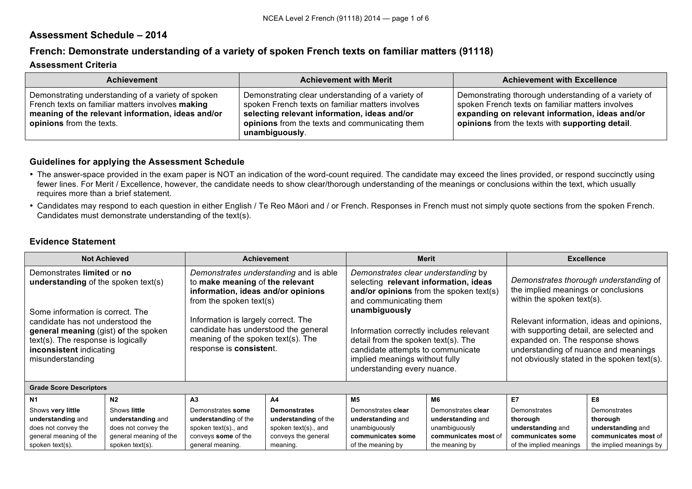# **Assessment Schedule – 2014**

# **French: Demonstrate understanding of a variety of spoken French texts on familiar matters (91118)**

### **Assessment Criteria**

| <b>Achievement</b>                                                                                                                                                                      | <b>Achievement with Merit</b>                                                                                                                                                                                             | <b>Achievement with Excellence</b>                                                                                                                                                                             |
|-----------------------------------------------------------------------------------------------------------------------------------------------------------------------------------------|---------------------------------------------------------------------------------------------------------------------------------------------------------------------------------------------------------------------------|----------------------------------------------------------------------------------------------------------------------------------------------------------------------------------------------------------------|
| Demonstrating understanding of a variety of spoken<br>French texts on familiar matters involves making<br>meaning of the relevant information, ideas and/or<br>opinions from the texts. | Demonstrating clear understanding of a variety of<br>spoken French texts on familiar matters involves<br>selecting relevant information, ideas and/or<br>opinions from the texts and communicating them<br>unambiguously. | Demonstrating thorough understanding of a variety of<br>spoken French texts on familiar matters involves<br>expanding on relevant information, ideas and/or<br>opinions from the texts with supporting detail. |

### **Guidelines for applying the Assessment Schedule**

- The answer-space provided in the exam paper is NOT an indication of the word-count required. The candidate may exceed the lines provided, or respond succinctly using fewer lines. For Merit / Excellence, however, the candidate needs to show clear/thorough understanding of the meanings or conclusions within the text, which usually requires more than a brief statement.
- Candidates may respond to each question in either English / Te Reo Māori and / or French. Responses in French must not simply quote sections from the spoken French. Candidates must demonstrate understanding of the text(s).

## **Evidence Statement**

| <b>Not Achieved</b>                                                                                                                                                                                                                                 |                        | <b>Achievement</b><br><b>Merit</b>                                                                                                                                 |                      | <b>Excellence</b>                                                                                                                                                                    |                      |                                                                                                                                                                                                                 |                         |
|-----------------------------------------------------------------------------------------------------------------------------------------------------------------------------------------------------------------------------------------------------|------------------------|--------------------------------------------------------------------------------------------------------------------------------------------------------------------|----------------------|--------------------------------------------------------------------------------------------------------------------------------------------------------------------------------------|----------------------|-----------------------------------------------------------------------------------------------------------------------------------------------------------------------------------------------------------------|-------------------------|
| Demonstrates understanding and is able<br>Demonstrates limited or no<br>understanding of the spoken text(s)<br>to make meaning of the relevant<br>information, ideas and/or opinions<br>from the spoken text(s)<br>Some information is correct. The |                        | Demonstrates clear understanding by<br>selecting relevant information, ideas<br>and/or opinions from the spoken text(s)<br>and communicating them<br>unambiguously |                      | Demonstrates thorough understanding of<br>the implied meanings or conclusions<br>within the spoken text(s).                                                                          |                      |                                                                                                                                                                                                                 |                         |
| candidate has not understood the<br>general meaning (gist) of the spoken<br>text(s). The response is logically<br>inconsistent indicating<br>misunderstanding                                                                                       |                        | Information is largely correct. The<br>candidate has understood the general<br>meaning of the spoken text(s). The<br>response is consistent.                       |                      | Information correctly includes relevant<br>detail from the spoken text(s). The<br>candidate attempts to communicate<br>implied meanings without fully<br>understanding every nuance. |                      | Relevant information, ideas and opinions,<br>with supporting detail, are selected and<br>expanded on. The response shows<br>understanding of nuance and meanings<br>not obviously stated in the spoken text(s). |                         |
| <b>Grade Score Descriptors</b>                                                                                                                                                                                                                      |                        |                                                                                                                                                                    |                      |                                                                                                                                                                                      |                      |                                                                                                                                                                                                                 |                         |
| N1                                                                                                                                                                                                                                                  | N <sub>2</sub>         | A3                                                                                                                                                                 | A4                   | M <sub>5</sub>                                                                                                                                                                       | M6                   | E7                                                                                                                                                                                                              | E8                      |
| Shows very little                                                                                                                                                                                                                                   | Shows little           | Demonstrates some                                                                                                                                                  | <b>Demonstrates</b>  | Demonstrates clear                                                                                                                                                                   | Demonstrates clear   | Demonstrates                                                                                                                                                                                                    | Demonstrates            |
| understanding and                                                                                                                                                                                                                                   | understanding and      | understanding of the                                                                                                                                               | understanding of the | understanding and                                                                                                                                                                    | understanding and    | thorough                                                                                                                                                                                                        | thorough                |
| does not convey the                                                                                                                                                                                                                                 | does not convey the    | spoken text(s), and                                                                                                                                                | spoken text(s)., and | unambiguously                                                                                                                                                                        | unambiguously        | understanding and                                                                                                                                                                                               | understanding and       |
| general meaning of the                                                                                                                                                                                                                              | general meaning of the | conveys some of the                                                                                                                                                | conveys the general  | communicates some                                                                                                                                                                    | communicates most of | communicates some                                                                                                                                                                                               | communicates most of    |
| spoken text(s).                                                                                                                                                                                                                                     | spoken text(s).        | general meaning.                                                                                                                                                   | meaning.             | of the meaning by                                                                                                                                                                    | the meaning by       | of the implied meanings                                                                                                                                                                                         | the implied meanings by |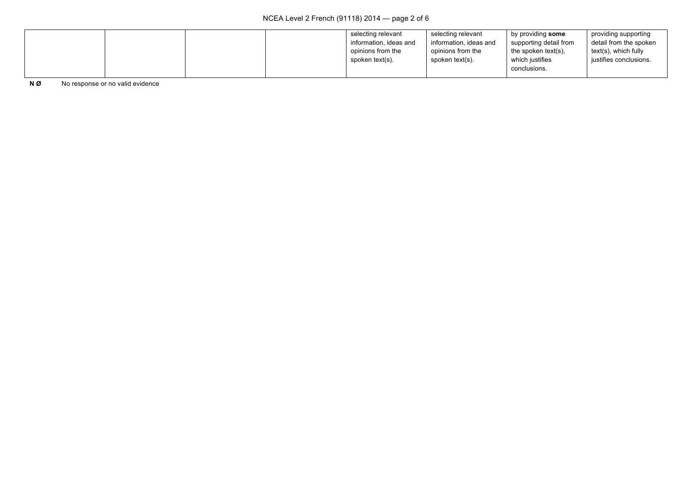|  | selecting relevant     | selecting relevant     | by providing some      | providing supporting   |
|--|------------------------|------------------------|------------------------|------------------------|
|  | information, ideas and | information, ideas and | supporting detail from | detail from the spoken |
|  | opinions from the      | opinions from the      | the spoken text(s),    | text(s), which fully   |
|  | spoken text(s).        | spoken text(s).        | which justifies        | justifies conclusions. |
|  |                        |                        | conclusions.           |                        |

**N Ø** No response or no valid evidence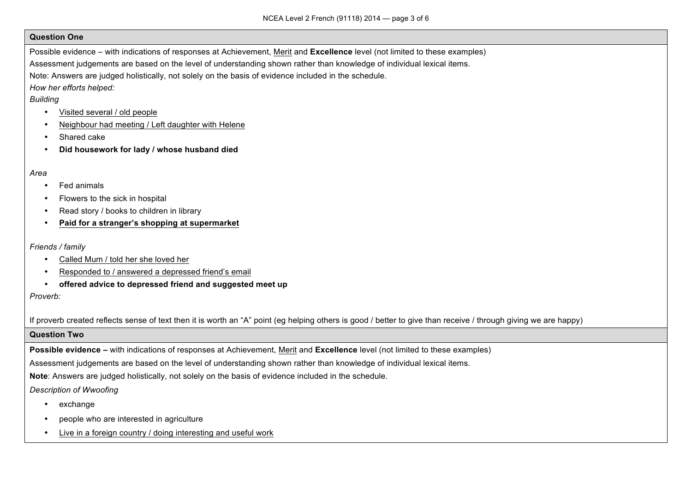#### **Question One**

Possible evidence – with indications of responses at Achievement, Merit and **Excellence** level (not limited to these examples)

Assessment judgements are based on the level of understanding shown rather than knowledge of individual lexical items.

Note: Answers are judged holistically, not solely on the basis of evidence included in the schedule.

*How her efforts helped:*

## *Building*

- Visited several / old people
- Neighbour had meeting / Left daughter with Helene
- Shared cake
- **Did housework for lady / whose husband died**

### *Area*

- Fed animals
- Flowers to the sick in hospital
- Read story / books to children in library
- **Paid for a stranger's shopping at supermarket**

### *Friends / family*

- Called Mum / told her she loved her
- Responded to / answered a depressed friend's email
- **offered advice to depressed friend and suggested meet up**

## *Proverb:*

If proverb created reflects sense of text then it is worth an "A" point (eg helping others is good / better to give than receive / through giving we are happy)

#### **Question Two**

**Possible evidence –** with indications of responses at Achievement, Merit and **Excellence** level (not limited to these examples)

Assessment judgements are based on the level of understanding shown rather than knowledge of individual lexical items.

**Note**: Answers are judged holistically, not solely on the basis of evidence included in the schedule.

# *Description of Wwoofing*

- exchange
- people who are interested in agriculture
- Live in a foreign country / doing interesting and useful work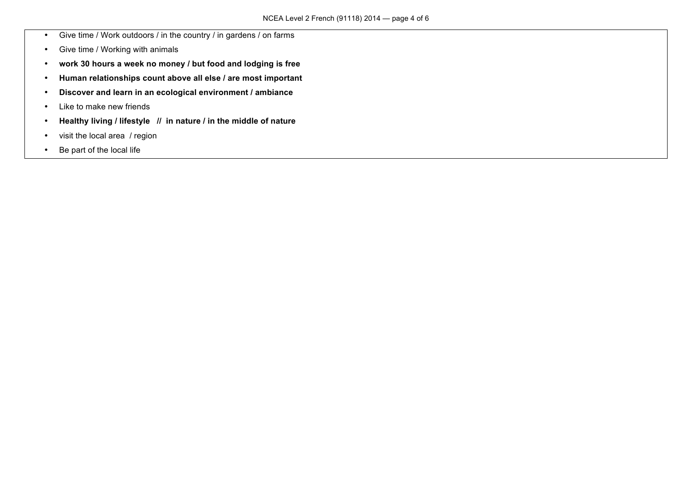- Give time / Work outdoors / in the country / in gardens / on farms
- Give time / Working with animals
- **work 30 hours a week no money / but food and lodging is free**
- **Human relationships count above all else / are most important**
- **Discover and learn in an ecological environment / ambiance**
- Like to make new friends
- **Healthy living / lifestyle // in nature / in the middle of nature**
- visit the local area / region
- Be part of the local life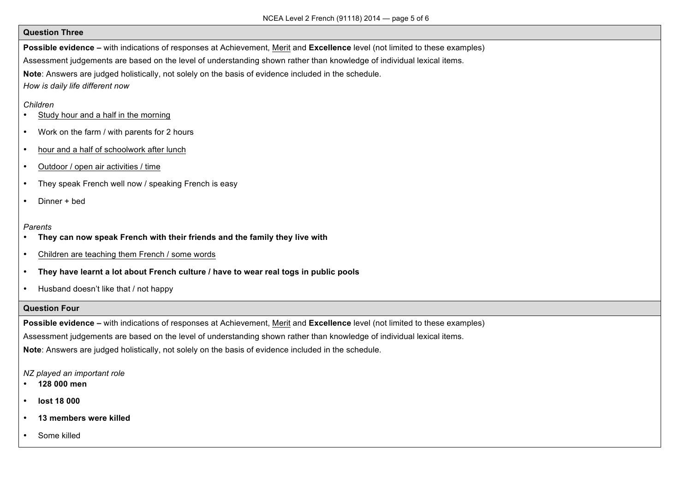#### **Question Three**

**Possible evidence –** with indications of responses at Achievement, Merit and **Excellence** level (not limited to these examples)

Assessment judgements are based on the level of understanding shown rather than knowledge of individual lexical items.

**Note**: Answers are judged holistically, not solely on the basis of evidence included in the schedule.

*How is daily life different now*

#### *Children*

- Study hour and a half in the morning
- Work on the farm / with parents for 2 hours
- hour and a half of schoolwork after lunch
- Outdoor / open air activities / time
- They speak French well now / speaking French is easy
- Dinner + bed

#### *Parents*

- **They can now speak French with their friends and the family they live with**
- Children are teaching them French / some words
- **They have learnt a lot about French culture / have to wear real togs in public pools**
- Husband doesn't like that / not happy

#### **Question Four**

**Possible evidence –** with indications of responses at Achievement, Merit and **Excellence** level (not limited to these examples)

Assessment judgements are based on the level of understanding shown rather than knowledge of individual lexical items.

**Note**: Answers are judged holistically, not solely on the basis of evidence included in the schedule.

#### *NZ played an important role*

- **128 000 men**
- **lost 18 000**
- **13 members were killed**
- Some killed